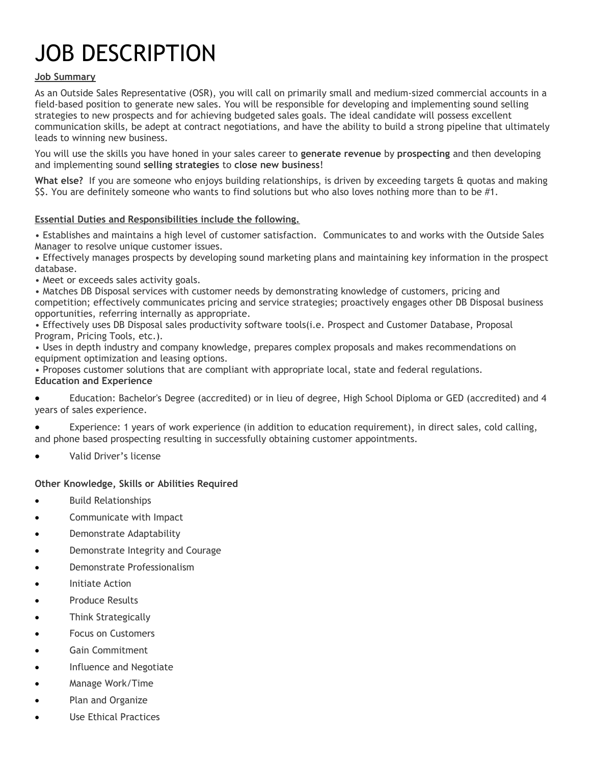# JOB DESCRIPTION

## **Job Summary**

As an Outside Sales Representative (OSR), you will call on primarily small and medium-sized commercial accounts in a field-based position to generate new sales. You will be responsible for developing and implementing sound selling strategies to new prospects and for achieving budgeted sales goals. The ideal candidate will possess excellent communication skills, be adept at contract negotiations, and have the ability to build a strong pipeline that ultimately leads to winning new business.

You will use the skills you have honed in your sales career to **generate revenue** by **prospecting** and then developing and implementing sound **selling strategies** to **close new business**!

**What else?** If you are someone who enjoys building relationships, is driven by exceeding targets & quotas and making \$\$. You are definitely someone who wants to find solutions but who also loves nothing more than to be #1.

## **Essential Duties and Responsibilities include the following.**

• Establishes and maintains a high level of customer satisfaction. Communicates to and works with the Outside Sales Manager to resolve unique customer issues.

• Effectively manages prospects by developing sound marketing plans and maintaining key information in the prospect database.

• Meet or exceeds sales activity goals.

• Matches DB Disposal services with customer needs by demonstrating knowledge of customers, pricing and competition; effectively communicates pricing and service strategies; proactively engages other DB Disposal business opportunities, referring internally as appropriate.

• Effectively uses DB Disposal sales productivity software tools(i.e. Prospect and Customer Database, Proposal Program, Pricing Tools, etc.).

• Uses in depth industry and company knowledge, prepares complex proposals and makes recommendations on equipment optimization and leasing options.

• Proposes customer solutions that are compliant with appropriate local, state and federal regulations. **Education and Experience**

 Education: Bachelor's Degree (accredited) or in lieu of degree, High School Diploma or GED (accredited) and 4 years of sales experience.

 Experience: 1 years of work experience (in addition to education requirement), in direct sales, cold calling, and phone based prospecting resulting in successfully obtaining customer appointments.

Valid Driver's license

## **Other Knowledge, Skills or Abilities Required**

- Build Relationships
- Communicate with Impact
- Demonstrate Adaptability
- Demonstrate Integrity and Courage
- Demonstrate Professionalism
- Initiate Action
- Produce Results
- Think Strategically
- Focus on Customers
- Gain Commitment
- **•** Influence and Negotiate
- Manage Work/Time
- Plan and Organize
- Use Ethical Practices